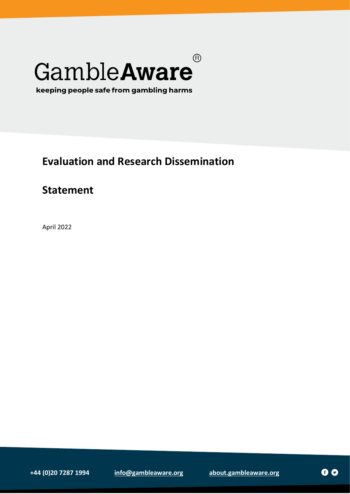# $\circledR$ GambleAware

keeping people safe from gambling harms

## **Evaluation and Research Dissemination**

### **Statement**

April 2022

**+44 (0)20 7287 1994 [info@gambleaware.org](mailto:info@gambleaware.org) [about.gambleaware.org](https://about.gambleaware.org/)**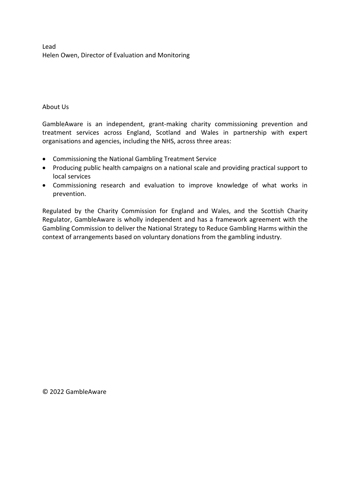Lead Helen Owen, Director of Evaluation and Monitoring

About Us

GambleAware is an independent, grant-making charity commissioning prevention and treatment services across England, Scotland and Wales in partnership with expert organisations and agencies, including the NHS, across three areas:

- Commissioning the National Gambling Treatment Service
- Producing public health campaigns on a national scale and providing practical support to local services
- Commissioning research and evaluation to improve knowledge of what works in prevention.

Regulated by the Charity Commission for England and Wales, and the Scottish Charity Regulator, GambleAware is wholly independent and has a framework agreement with the Gambling Commission to deliver the National Strategy to Reduce Gambling Harms within the context of arrangements based on voluntary donations from the gambling industry.

© 2022 GambleAware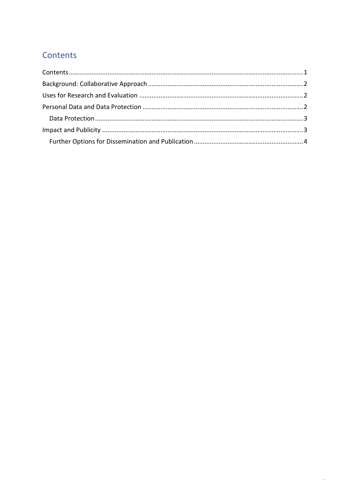### <span id="page-2-0"></span>Contents

 $\hat{\theta}$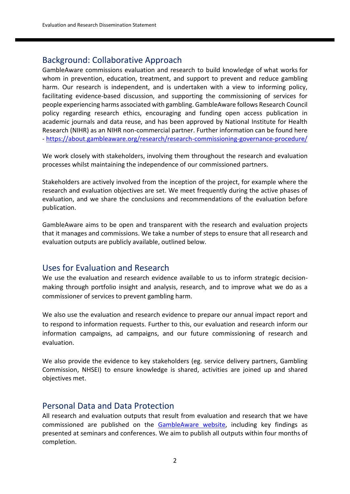#### <span id="page-3-0"></span>Background: Collaborative Approach

GambleAware commissions evaluation and research to build knowledge of what works for whom in prevention, education, treatment, and support to prevent and reduce gambling harm. Our research is independent, and is undertaken with a view to informing policy, facilitating evidence-based discussion, and supporting the commissioning of services for people experiencing harms associated with gambling. GambleAware follows Research Council policy regarding research ethics, encouraging and funding open access publication in academic journals and data reuse, and has been approved by National Institute for Health Research (NIHR) as an NIHR non-commercial partner. Further information can be found here - <https://about.gambleaware.org/research/research-commissioning-governance-procedure/>

We work closely with stakeholders, involving them throughout the research and evaluation processes whilst maintaining the independence of our commissioned partners.

Stakeholders are actively involved from the inception of the project, for example where the research and evaluation objectives are set. We meet frequently during the active phases of evaluation, and we share the conclusions and recommendations of the evaluation before publication.

GambleAware aims to be open and transparent with the research and evaluation projects that it manages and commissions. We take a number of steps to ensure that all research and evaluation outputs are publicly available, outlined below.

#### <span id="page-3-1"></span>Uses for Evaluation and Research

We use the evaluation and research evidence available to us to inform strategic decisionmaking through portfolio insight and analysis, research, and to improve what we do as a commissioner of services to prevent gambling harm.

We also use the evaluation and research evidence to prepare our annual impact report and to respond to information requests. Further to this, our evaluation and research inform our information campaigns, ad campaigns, and our future commissioning of research and evaluation.

We also provide the evidence to key stakeholders (eg. service delivery partners, Gambling Commission, NHSEI) to ensure knowledge is shared, activities are joined up and shared objectives met.

#### <span id="page-3-2"></span>Personal Data and Data Protection

All research and evaluation outputs that result from evaluation and research that we have commissioned are published on the [GambleAware](https://www.begambleaware.org/for-professionals/research-and-evaluation/evaluation-publications) website, including key findings as presented at seminars and conferences. We aim to publish all outputs within four months of completion.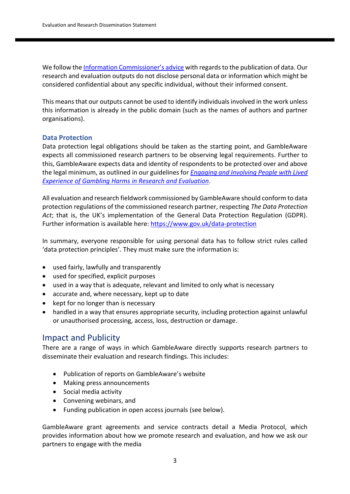We follow the [Information Commissioner's advice](https://ico.org.uk/for-organisations/guide-to-data-protection/guide-to-the-general-data-protection-regulation-gdpr/key-definitions/what-is-personal-data/) with regards to the publication of data. Our research and evaluation outputs do not disclose personal data or information which might be considered confidential about any specific individual, without their informed consent.

This means that our outputs cannot be used to identify individuals involved in the work unless this information is already in the public domain (such as the names of authors and partner organisations).

#### <span id="page-4-0"></span>**Data Protection**

Data protection legal obligations should be taken as the starting point, and GambleAware expects all commissioned research partners to be observing legal requirements. Further to this, GambleAware expects data and identity of respondents to be protected over and above the legal minimum, as outlined in our guidelines for *[Engaging and Involving People with Lived](https://www.begambleaware.org/sites/default/files/2020-12/research-publication-le-focus-guidelines-final_0.pdf)  [Experience of Gambling Harms in Research and Evaluation](https://www.begambleaware.org/sites/default/files/2020-12/research-publication-le-focus-guidelines-final_0.pdf)*.

All evaluation and research fieldwork commissioned by GambleAware should conform to data protection regulations of the commissioned research partner, respecting *The Data Protection Act*; that is, the UK's implementation of the General Data Protection Regulation (GDPR). Further information is available here:<https://www.gov.uk/data-protection>

In summary, everyone responsible for using personal data has to follow strict rules called 'data protection principles'. They must make sure the information is:

- used fairly, lawfully and transparently
- used for specified, explicit purposes
- used in a way that is adequate, relevant and limited to only what is necessary
- accurate and, where necessary, kept up to date
- kept for no longer than is necessary
- handled in a way that ensures appropriate security, including protection against unlawful or unauthorised processing, access, loss, destruction or damage.

#### <span id="page-4-1"></span>Impact and Publicity

There are a range of ways in which GambleAware directly supports research partners to disseminate their evaluation and research findings. This includes:

- Publication of reports on GambleAware's website
- Making press announcements
- Social media activity
- Convening webinars, and
- Funding publication in open access journals (see below).

GambleAware grant agreements and service contracts detail a Media Protocol, which provides information about how we promote research and evaluation, and how we ask our partners to engage with the media